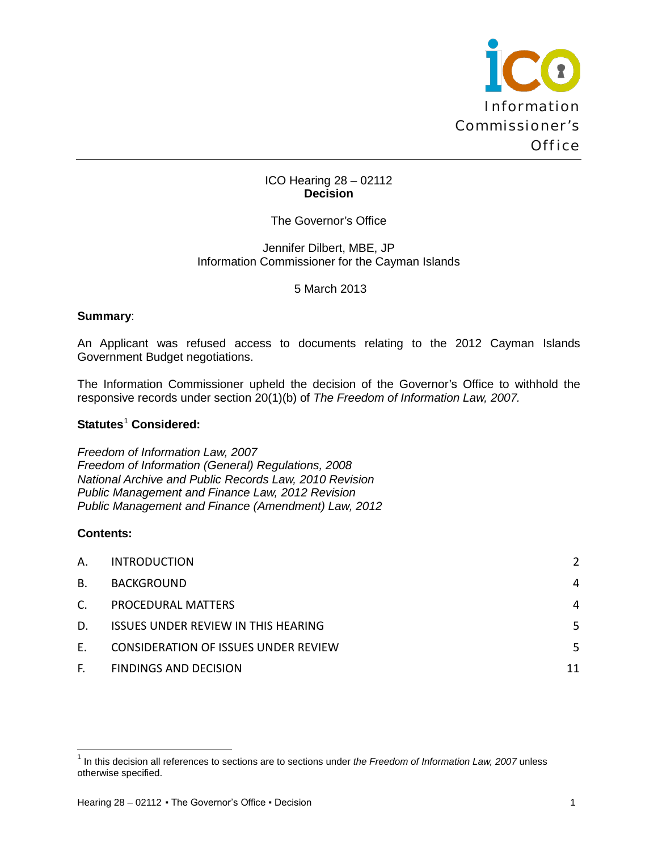

## ICO Hearing 28 – 02112 **Decision**

# The Governor's Office

#### Jennifer Dilbert, MBE, JP Information Commissioner for the Cayman Islands

## 5 March 2013

#### **Summary**:

An Applicant was refused access to documents relating to the 2012 Cayman Islands Government Budget negotiations.

The Information Commissioner upheld the decision of the Governor's Office to withhold the responsive records under section 20(1)(b) of *The Freedom of Information Law, 2007.*

## **Statutes<sup>[1](#page-0-0)</sup> Considered:**

*Freedom of Information Law, 2007 Freedom of Information (General) Regulations, 2008 National Archive and Public Records Law, 2010 Revision Public Management and Finance Law, 2012 Revision Public Management and Finance (Amendment) Law, 2012*

#### **Contents:**

 $\overline{\phantom{0}}$ 

| А. | <b>INTRODUCTION</b>                         | $\overline{2}$ |
|----|---------------------------------------------|----------------|
| В. | <b>BACKGROUND</b>                           | 4              |
| C. | PROCEDURAL MATTERS                          | 4              |
| D. | <b>ISSUES UNDER REVIEW IN THIS HEARING</b>  | 5.             |
| F. | <b>CONSIDERATION OF ISSUES UNDER REVIEW</b> | 5.             |
| F. | <b>FINDINGS AND DECISION</b>                | 11             |

<span id="page-0-0"></span><sup>1</sup> In this decision all references to sections are to sections under *the Freedom of Information Law, 2007* unless otherwise specified.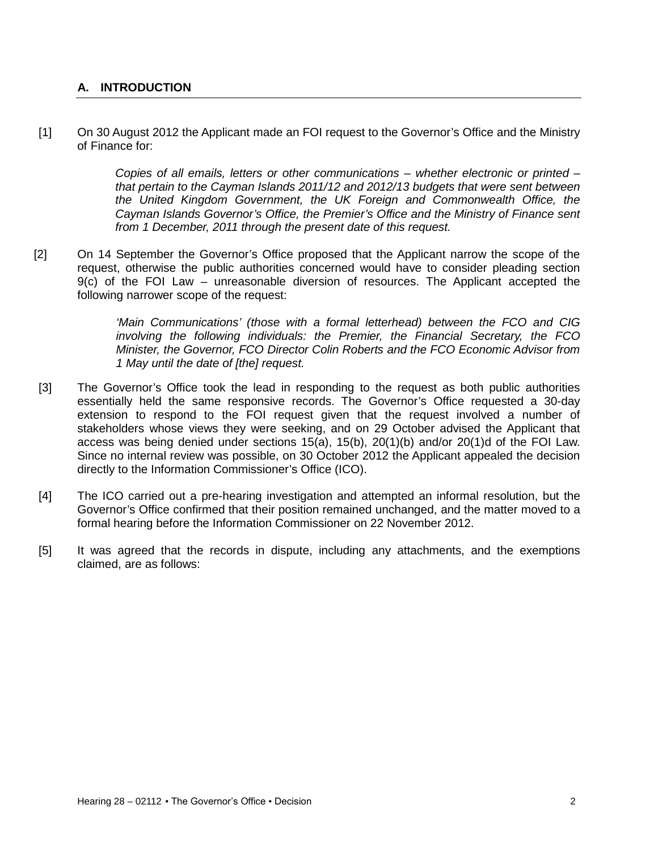# <span id="page-1-0"></span>**A. INTRODUCTION**

[1] On 30 August 2012 the Applicant made an FOI request to the Governor's Office and the Ministry of Finance for:

> *Copies of all emails, letters or other communications – whether electronic or printed – that pertain to the Cayman Islands 2011/12 and 2012/13 budgets that were sent between the United Kingdom Government, the UK Foreign and Commonwealth Office, the Cayman Islands Governor's Office, the Premier's Office and the Ministry of Finance sent from 1 December, 2011 through the present date of this request.*

[2] On 14 September the Governor's Office proposed that the Applicant narrow the scope of the request, otherwise the public authorities concerned would have to consider pleading section 9(c) of the FOI Law – unreasonable diversion of resources. The Applicant accepted the following narrower scope of the request:

> *'Main Communications' (those with a formal letterhead) between the FCO and CIG involving the following individuals: the Premier, the Financial Secretary, the FCO Minister, the Governor, FCO Director Colin Roberts and the FCO Economic Advisor from 1 May until the date of [the] request.*

- [3] The Governor's Office took the lead in responding to the request as both public authorities essentially held the same responsive records. The Governor's Office requested a 30-day extension to respond to the FOI request given that the request involved a number of stakeholders whose views they were seeking, and on 29 October advised the Applicant that access was being denied under sections 15(a), 15(b), 20(1)(b) and/or 20(1)d of the FOI Law. Since no internal review was possible, on 30 October 2012 the Applicant appealed the decision directly to the Information Commissioner's Office (ICO).
- [4] The ICO carried out a pre-hearing investigation and attempted an informal resolution, but the Governor's Office confirmed that their position remained unchanged, and the matter moved to a formal hearing before the Information Commissioner on 22 November 2012.
- [5] It was agreed that the records in dispute, including any attachments, and the exemptions claimed, are as follows: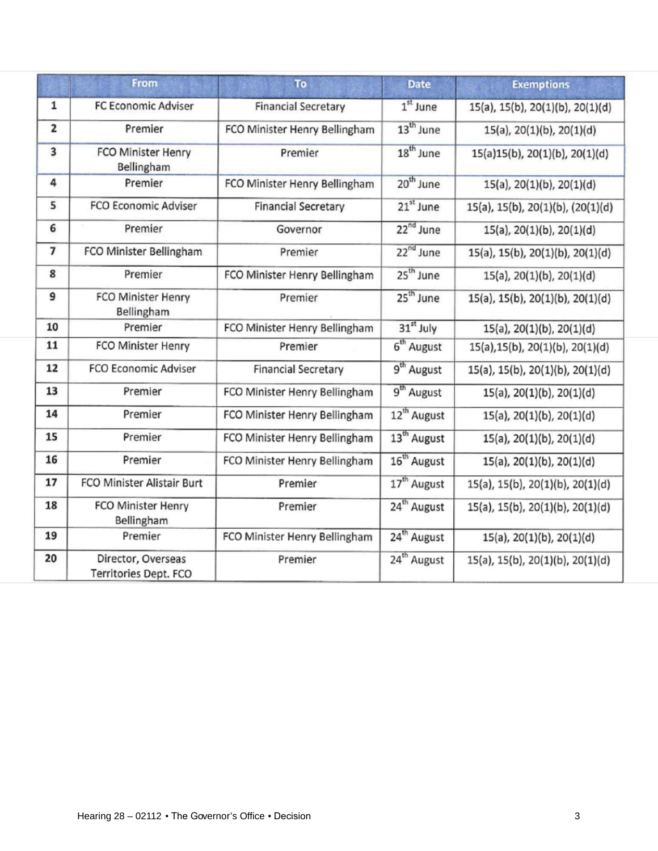|                         | From                                        | To                            | <b>Date</b>             | <b>Exemptions</b>                 |
|-------------------------|---------------------------------------------|-------------------------------|-------------------------|-----------------------------------|
| $\mathbf 1$             | <b>FC Economic Adviser</b>                  | <b>Financial Secretary</b>    | $1st$ June              | 15(a), 15(b), 20(1)(b), 20(1)(d)  |
| $\overline{\mathbf{2}}$ | Premier                                     | FCO Minister Henry Bellingham | $13th$ June             | $15(a)$ , $20(1)(b)$ , $20(1)(d)$ |
| $\overline{\mathbf{3}}$ | <b>FCO Minister Henry</b><br>Bellingham     | Premier                       | $18^{th}$ June          | 15(a)15(b), 20(1)(b), 20(1)(d)    |
| 4                       | Premier                                     | FCO Minister Henry Bellingham | 20 <sup>th</sup> June   | $15(a)$ , $20(1)(b)$ , $20(1)(d)$ |
| 5                       | <b>FCO Economic Adviser</b>                 | <b>Financial Secretary</b>    | 21 <sup>st</sup> June   | 15(a), 15(b), 20(1)(b), (20(1)(d) |
| 6                       | Premier                                     | Governor                      | 22 <sup>nd</sup> June   | $15(a)$ , $20(1)(b)$ , $20(1)(d)$ |
| 7                       | FCO Minister Bellingham                     | Premier                       | 22 <sup>nd</sup> June   | 15(a), 15(b), 20(1)(b), 20(1)(d)  |
| 8                       | Premier                                     | FCO Minister Henry Bellingham | 25 <sup>th</sup> June   | $15(a)$ , $20(1)(b)$ , $20(1)(d)$ |
| 9                       | <b>FCO Minister Henry</b><br>Bellingham     | Premier                       | $25th$ June             | 15(a), 15(b), 20(1)(b), 20(1)(d)  |
| 10                      | Premier                                     | FCO Minister Henry Bellingham | 31 <sup>st</sup> July   | 15(a), 20(1)(b), 20(1)(d)         |
| 11                      | FCO Minister Henry                          | Premier                       | 6 <sup>th</sup> August  | 15(a), 15(b), 20(1)(b), 20(1)(d)  |
| 12                      | <b>FCO Economic Adviser</b>                 | <b>Financial Secretary</b>    | 9 <sup>th</sup> August  | 15(a), 15(b), 20(1)(b), 20(1)(d)  |
| 13                      | Premier                                     | FCO Minister Henry Bellingham | 9 <sup>th</sup> August  | $15(a)$ , $20(1)(b)$ , $20(1)(d)$ |
| 14                      | Premier                                     | FCO Minister Henry Bellingham | 12 <sup>th</sup> August | $15(a)$ , $20(1)(b)$ , $20(1)(d)$ |
| 15                      | Premier                                     | FCO Minister Henry Bellingham | 13 <sup>th</sup> August | 15(a), 20(1)(b), 20(1)(d)         |
| 16                      | Premier                                     | FCO Minister Henry Bellingham | 16 <sup>th</sup> August | 15(a), 20(1)(b), 20(1)(d)         |
| 17                      | FCO Minister Alistair Burt                  | Premier                       | 17 <sup>th</sup> August | 15(a), 15(b), 20(1)(b), 20(1)(d)  |
| 18                      | <b>FCO Minister Henry</b><br>Bellingham     | Premier                       | 24 <sup>th</sup> August | 15(a), 15(b), 20(1)(b), 20(1)(d)  |
| 19                      | Premier                                     | FCO Minister Henry Bellingham | 24 <sup>th</sup> August | 15(a), 20(1)(b), 20(1)(d)         |
| 20                      | Director, Overseas<br>Territories Dept. FCO | Premier                       | 24 <sup>th</sup> August | 15(a), 15(b), 20(1)(b), 20(1)(d)  |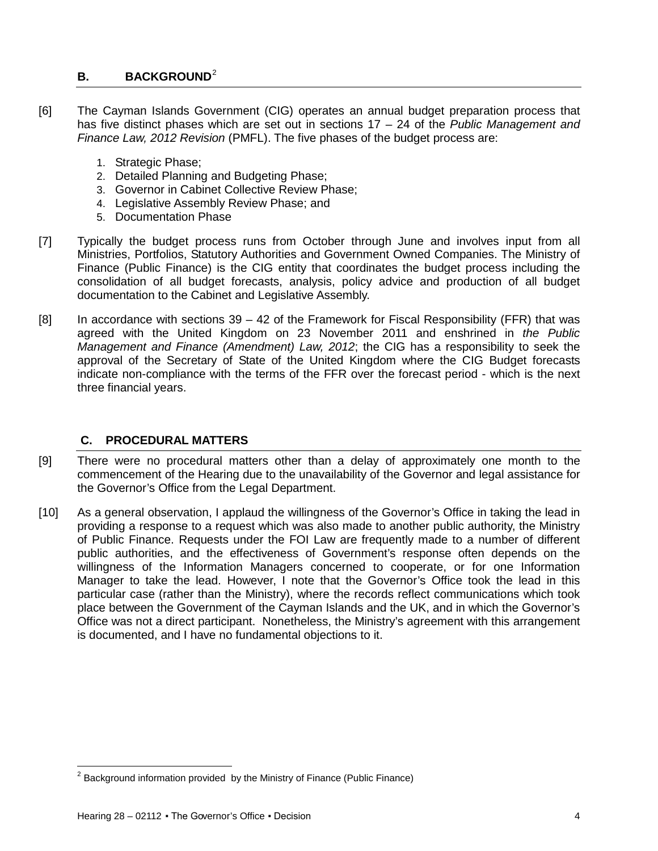# <span id="page-3-0"></span>**B.** BACKGROUND<sup>[2](#page-3-2)</sup>

- [6] The Cayman Islands Government (CIG) operates an annual budget preparation process that has five distinct phases which are set out in sections 17 – 24 of the *Public Management and Finance Law, 2012 Revision* (PMFL). The five phases of the budget process are:
	- 1. Strategic Phase;
	- 2. Detailed Planning and Budgeting Phase;
	- 3. Governor in Cabinet Collective Review Phase;
	- 4. Legislative Assembly Review Phase; and
	- 5. Documentation Phase
- [7] Typically the budget process runs from October through June and involves input from all Ministries, Portfolios, Statutory Authorities and Government Owned Companies. The Ministry of Finance (Public Finance) is the CIG entity that coordinates the budget process including the consolidation of all budget forecasts, analysis, policy advice and production of all budget documentation to the Cabinet and Legislative Assembly.
- $[8]$  In accordance with sections  $39 42$  of the Framework for Fiscal Responsibility (FFR) that was agreed with the United Kingdom on 23 November 2011 and enshrined in *the Public Management and Finance (Amendment) Law, 2012*; the CIG has a responsibility to seek the approval of the Secretary of State of the United Kingdom where the CIG Budget forecasts indicate non-compliance with the terms of the FFR over the forecast period - which is the next three financial years.

## <span id="page-3-1"></span>**C. PROCEDURAL MATTERS**

- [9] There were no procedural matters other than a delay of approximately one month to the commencement of the Hearing due to the unavailability of the Governor and legal assistance for the Governor's Office from the Legal Department.
- [10] As a general observation, I applaud the willingness of the Governor's Office in taking the lead in providing a response to a request which was also made to another public authority, the Ministry of Public Finance. Requests under the FOI Law are frequently made to a number of different public authorities, and the effectiveness of Government's response often depends on the willingness of the Information Managers concerned to cooperate, or for one Information Manager to take the lead. However, I note that the Governor's Office took the lead in this particular case (rather than the Ministry), where the records reflect communications which took place between the Government of the Cayman Islands and the UK, and in which the Governor's Office was not a direct participant. Nonetheless, the Ministry's agreement with this arrangement is documented, and I have no fundamental objections to it.

ı

<span id="page-3-2"></span> $2$  Background information provided by the Ministry of Finance (Public Finance)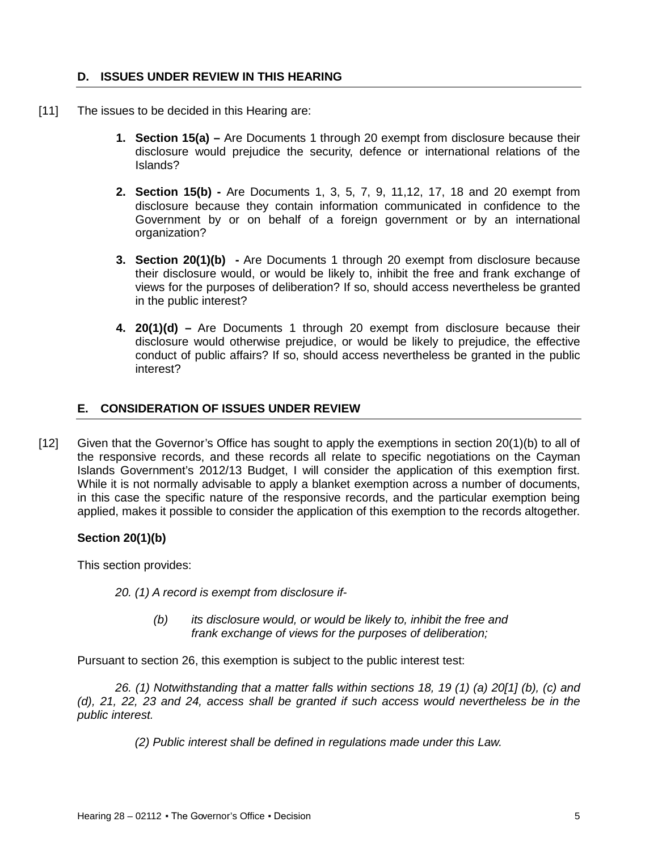## <span id="page-4-0"></span>**D. ISSUES UNDER REVIEW IN THIS HEARING**

- [11] The issues to be decided in this Hearing are:
	- **1. Section 15(a) –** Are Documents 1 through 20 exempt from disclosure because their disclosure would prejudice the security, defence or international relations of the Islands?
	- **2. Section 15(b) -** Are Documents 1, 3, 5, 7, 9, 11,12, 17, 18 and 20 exempt from disclosure because they contain information communicated in confidence to the Government by or on behalf of a foreign government or by an international organization?
	- **3. Section 20(1)(b) -** Are Documents 1 through 20 exempt from disclosure because their disclosure would, or would be likely to, inhibit the free and frank exchange of views for the purposes of deliberation? If so, should access nevertheless be granted in the public interest?
	- **4. 20(1)(d) –** Are Documents 1 through 20 exempt from disclosure because their disclosure would otherwise prejudice, or would be likely to prejudice, the effective conduct of public affairs? If so, should access nevertheless be granted in the public interest?

# <span id="page-4-1"></span>**E. CONSIDERATION OF ISSUES UNDER REVIEW**

[12] Given that the Governor's Office has sought to apply the exemptions in section 20(1)(b) to all of the responsive records, and these records all relate to specific negotiations on the Cayman Islands Government's 2012/13 Budget, I will consider the application of this exemption first. While it is not normally advisable to apply a blanket exemption across a number of documents, in this case the specific nature of the responsive records, and the particular exemption being applied, makes it possible to consider the application of this exemption to the records altogether.

## **Section 20(1)(b)**

This section provides:

*20. (1) A record is exempt from disclosure if-*

*(b) its disclosure would, or would be likely to, inhibit the free and frank exchange of views for the purposes of deliberation;*

Pursuant to section 26, this exemption is subject to the public interest test:

*26. (1) Notwithstanding that a matter falls within sections 18, 19 (1) (a) 20[1] (b), (c) and (d), 21, 22, 23 and 24, access shall be granted if such access would nevertheless be in the public interest.*

 *(2) Public interest shall be defined in regulations made under this Law.*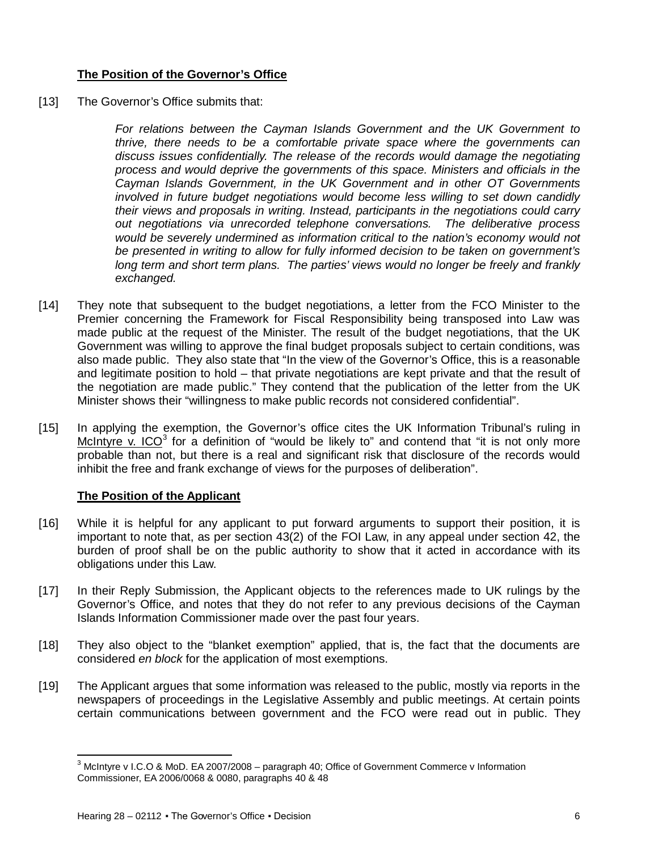# **The Position of the Governor's Office**

[13] The Governor's Office submits that:

*For relations between the Cayman Islands Government and the UK Government to thrive, there needs to be a comfortable private space where the governments can discuss issues confidentially. The release of the records would damage the negotiating process and would deprive the governments of this space. Ministers and officials in the Cayman Islands Government, in the UK Government and in other OT Governments involved in future budget negotiations would become less willing to set down candidly their views and proposals in writing. Instead, participants in the negotiations could carry out negotiations via unrecorded telephone conversations. The deliberative process*  would be severely undermined as information critical to the nation's economy would not *be presented in writing to allow for fully informed decision to be taken on government's long term and short term plans. The parties' views would no longer be freely and frankly exchanged.*

- [14] They note that subsequent to the budget negotiations, a letter from the FCO Minister to the Premier concerning the Framework for Fiscal Responsibility being transposed into Law was made public at the request of the Minister. The result of the budget negotiations, that the UK Government was willing to approve the final budget proposals subject to certain conditions, was also made public. They also state that "In the view of the Governor's Office, this is a reasonable and legitimate position to hold – that private negotiations are kept private and that the result of the negotiation are made public." They contend that the publication of the letter from the UK Minister shows their "willingness to make public records not considered confidential".
- [15] In applying the exemption, the Governor's office cites the UK Information Tribunal's ruling in McIntyre v. ICO $3$  for a definition of "would be likely to" and contend that "it is not only more probable than not, but there is a real and significant risk that disclosure of the records would inhibit the free and frank exchange of views for the purposes of deliberation".

## **The Position of the Applicant**

- [16] While it is helpful for any applicant to put forward arguments to support their position, it is important to note that, as per section 43(2) of the FOI Law, in any appeal under section 42, the burden of proof shall be on the public authority to show that it acted in accordance with its obligations under this Law.
- [17] In their Reply Submission, the Applicant objects to the references made to UK rulings by the Governor's Office, and notes that they do not refer to any previous decisions of the Cayman Islands Information Commissioner made over the past four years.
- [18] They also object to the "blanket exemption" applied, that is, the fact that the documents are considered *en block* for the application of most exemptions.
- [19] The Applicant argues that some information was released to the public, mostly via reports in the newspapers of proceedings in the Legislative Assembly and public meetings. At certain points certain communications between government and the FCO were read out in public. They

 $\overline{\phantom{0}}$ 

<span id="page-5-0"></span> $3$  McIntyre v I.C.O & MoD. EA 2007/2008 – paragraph 40; Office of Government Commerce v Information Commissioner, EA 2006/0068 & 0080, paragraphs 40 & 48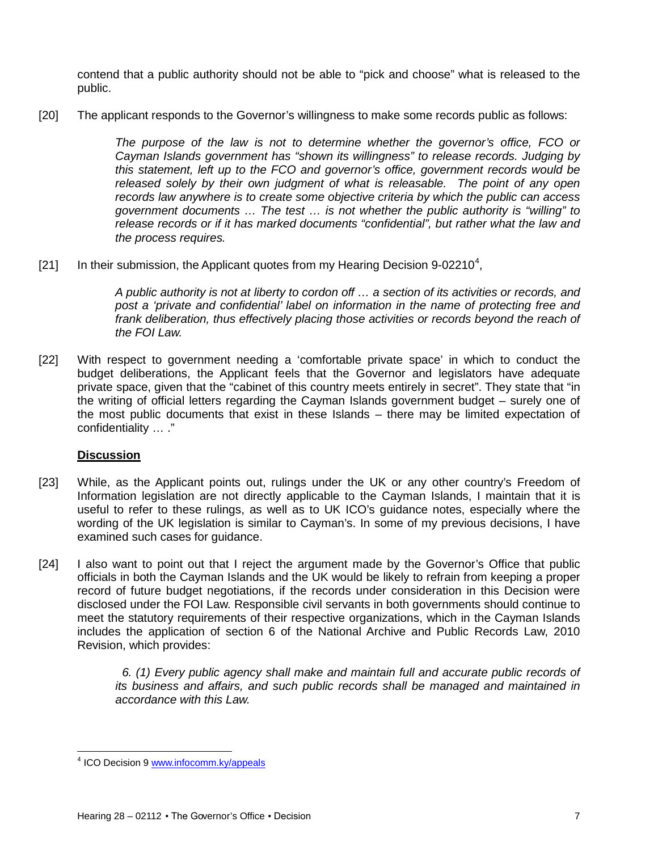contend that a public authority should not be able to "pick and choose" what is released to the public.

[20] The applicant responds to the Governor's willingness to make some records public as follows:

*The purpose of the law is not to determine whether the governor's office, FCO or Cayman Islands government has "shown its willingness" to release records. Judging by this statement, left up to the FCO and governor's office, government records would be released solely by their own judgment of what is releasable. The point of any open records law anywhere is to create some objective criteria by which the public can access government documents … The test … is not whether the public authority is "willing" to release records or if it has marked documents "confidential", but rather what the law and the process requires.*

[21] In their submission, the Applicant quotes from my Hearing Decision 9-02210<sup>[4](#page-6-0)</sup>,

*A public authority is not at liberty to cordon off … a section of its activities or records, and post a 'private and confidential' label on information in the name of protecting free and*  frank deliberation, thus effectively placing those activities or records beyond the reach of *the FOI Law.*

[22] With respect to government needing a 'comfortable private space' in which to conduct the budget deliberations, the Applicant feels that the Governor and legislators have adequate private space, given that the "cabinet of this country meets entirely in secret". They state that "in the writing of official letters regarding the Cayman Islands government budget – surely one of the most public documents that exist in these Islands – there may be limited expectation of confidentiality … ."

## **Discussion**

ı

- [23] While, as the Applicant points out, rulings under the UK or any other country's Freedom of Information legislation are not directly applicable to the Cayman Islands, I maintain that it is useful to refer to these rulings, as well as to UK ICO's guidance notes, especially where the wording of the UK legislation is similar to Cayman's. In some of my previous decisions, I have examined such cases for guidance.
- [24] I also want to point out that I reject the argument made by the Governor's Office that public officials in both the Cayman Islands and the UK would be likely to refrain from keeping a proper record of future budget negotiations, if the records under consideration in this Decision were disclosed under the FOI Law. Responsible civil servants in both governments should continue to meet the statutory requirements of their respective organizations, which in the Cayman Islands includes the application of section 6 of the National Archive and Public Records Law, 2010 Revision, which provides:

 *6. (1) Every public agency shall make and maintain full and accurate public records of its business and affairs, and such public records shall be managed and maintained in accordance with this Law.*

<span id="page-6-0"></span><sup>&</sup>lt;sup>4</sup> ICO Decision 9 [www.infocomm.ky/appeals](http://www.infocomm.ky/appeals)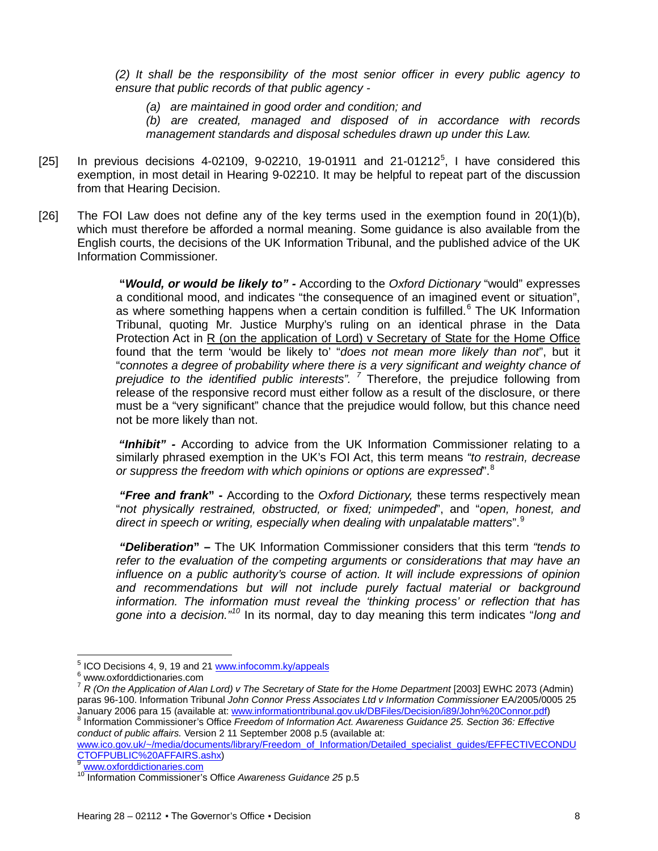*(2) It shall be the responsibility of the most senior officer in every public agency to ensure that public records of that public agency -*

*(a) are maintained in good order and condition; and* 

*(b) are created, managed and disposed of in accordance with records management standards and disposal schedules drawn up under this Law.*

- [2[5](#page-7-0)] In previous decisions 4-02109, 9-02210, 19-01911 and 21-01212<sup>5</sup>, I have considered this exemption, in most detail in Hearing 9-02210. It may be helpful to repeat part of the discussion from that Hearing Decision.
- [26] The FOI Law does not define any of the key terms used in the exemption found in  $20(1)(b)$ , which must therefore be afforded a normal meaning. Some guidance is also available from the English courts, the decisions of the UK Information Tribunal, and the published advice of the UK Information Commissioner.

**"***Would, or would be likely to" -* According to the *Oxford Dictionary* "would" expresses a conditional mood, and indicates "the consequence of an imagined event or situation", as where something happens when a certain condition is fulfilled. $6$  The UK Information Tribunal, quoting Mr. Justice Murphy's ruling on an identical phrase in the Data Protection Act in R (on the application of Lord) v Secretary of State for the Home Office found that the term 'would be likely to' "*does not mean more likely than not*", but it "*connotes a degree of probability where there is a very significant and weighty chance of prejudice to the identified public interests". [7](#page-7-2)* Therefore, the prejudice following from release of the responsive record must either follow as a result of the disclosure, or there must be a "very significant" chance that the prejudice would follow, but this chance need not be more likely than not.

*"Inhibit" -* According to advice from the UK Information Commissioner relating to a similarly phrased exemption in the UK's FOI Act, this term means *"to restrain, decrease or suppress the freedom with which opinions or options are expressed*". [8](#page-7-3)

*"Free and frank***" -** According to the *Oxford Dictionary,* these terms respectively mean "*not physically restrained, obstructed, or fixed; unimpeded*", and "*open, honest, and direct in speech or writing, especially when dealing with unpalatable matters*".[9](#page-7-4)

*"Deliberation***" –** The UK Information Commissioner considers that this term *"tends to refer to the evaluation of the competing arguments or considerations that may have an influence on a public authority's course of action. It will include expressions of opinion*  and recommendations but will not include purely factual material or background *information. The information must reveal the 'thinking process' or reflection that has*  gone into a decision."<sup>[10](#page-7-5)</sup> In its normal, day to day meaning this term indicates "long and

l

<span id="page-7-0"></span> $^5$  ICO Decisions 4, 9, 19 and 21 www.infocomm.ky/appeals  $^6$  www.oxforddictionaries.com

<span id="page-7-2"></span><span id="page-7-1"></span><sup>&</sup>lt;sup>7</sup> R (On the Application of Alan Lord) v The Secretary of State for the Home Department [2003] EWHC 2073 (Admin) paras 96-100. Information Tribunal *John Connor Press Associates Ltd v Information Commissioner* EA/2005/0005 25

<span id="page-7-3"></span>January 2006 para 15 (available at[: www.informationtribunal.gov.uk/DBFiles/Decision/i89/John%20Connor.pdf\)](http://www.informationtribunal.gov.uk/DBFiles/Decision/i89/John%20Connor.pdf) <sup>8</sup> Information Commissioner's Office *Freedom of Information Act. Awareness Guidance 25. Section 36: Effective conduct of public affairs.* Version 2 11 September 2008 p.5 (available at:

[www.ico.gov.uk/~/media/documents/library/Freedom\\_of\\_Information/Detailed\\_specialist\\_guides/EFFECTIVECONDU](http://www.ico.gov.uk/~/media/documents/library/Freedom_of_Information/Detailed_specialist_guides/EFFECTIVECONDUCTOFPUBLIC%20AFFAIRS.ashx)\_<br>CTOFPUBLIC%20AFFAIRS.ashx)

<span id="page-7-5"></span><span id="page-7-4"></span><sup>&</sup>lt;sup>9</sup> [www.oxforddictionaries.com](http://www.oxforddictionaries.com/)<br><sup>10</sup> Information Commissioner's Office *Awareness Guidance* 25 p.5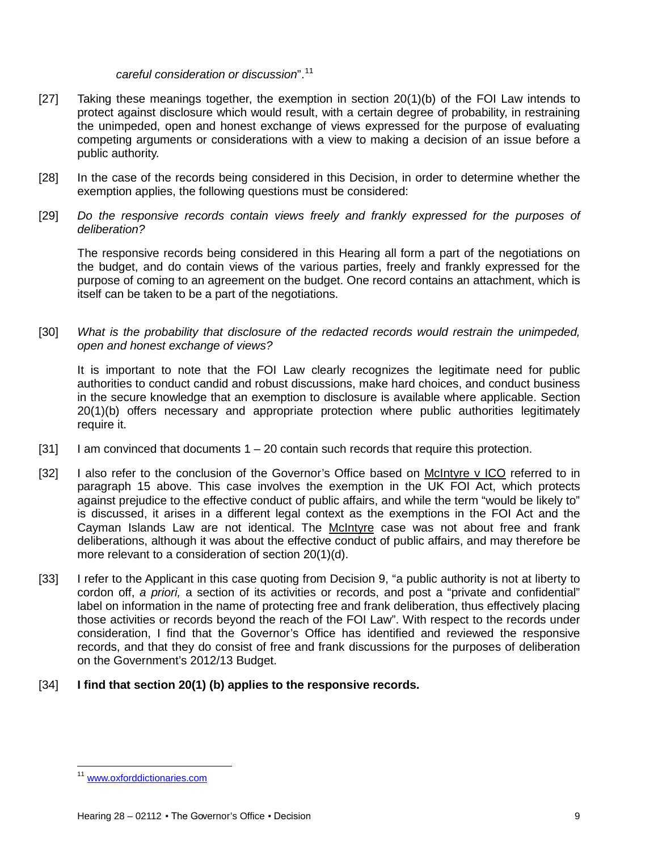#### *careful consideration or discussion*".[11](#page-8-0)

- [27] Taking these meanings together, the exemption in section 20(1)(b) of the FOI Law intends to protect against disclosure which would result, with a certain degree of probability, in restraining the unimpeded, open and honest exchange of views expressed for the purpose of evaluating competing arguments or considerations with a view to making a decision of an issue before a public authority.
- [28] In the case of the records being considered in this Decision, in order to determine whether the exemption applies, the following questions must be considered:
- [29] Do the responsive records contain views freely and frankly expressed for the purposes of *deliberation?*

The responsive records being considered in this Hearing all form a part of the negotiations on the budget, and do contain views of the various parties, freely and frankly expressed for the purpose of coming to an agreement on the budget. One record contains an attachment, which is itself can be taken to be a part of the negotiations.

[30] *What is the probability that disclosure of the redacted records would restrain the unimpeded, open and honest exchange of views?*

It is important to note that the FOI Law clearly recognizes the legitimate need for public authorities to conduct candid and robust discussions, make hard choices, and conduct business in the secure knowledge that an exemption to disclosure is available where applicable. Section 20(1)(b) offers necessary and appropriate protection where public authorities legitimately require it.

- $[31]$  I am convinced that documents  $1 20$  contain such records that require this protection.
- [32] I also refer to the conclusion of the Governor's Office based on McIntyre v ICO referred to in paragraph 15 above. This case involves the exemption in the UK FOI Act, which protects against prejudice to the effective conduct of public affairs, and while the term "would be likely to" is discussed, it arises in a different legal context as the exemptions in the FOI Act and the Cayman Islands Law are not identical. The McIntyre case was not about free and frank deliberations, although it was about the effective conduct of public affairs, and may therefore be more relevant to a consideration of section 20(1)(d).
- [33] I refer to the Applicant in this case quoting from Decision 9, "a public authority is not at liberty to cordon off, *a priori,* a section of its activities or records, and post a "private and confidential" label on information in the name of protecting free and frank deliberation, thus effectively placing those activities or records beyond the reach of the FOI Law". With respect to the records under consideration, I find that the Governor's Office has identified and reviewed the responsive records, and that they do consist of free and frank discussions for the purposes of deliberation on the Government's 2012/13 Budget.
- [34] **I find that section 20(1) (b) applies to the responsive records.**

<span id="page-8-0"></span>ı <sup>11</sup> [www.oxforddictionaries.com](http://www.oxforddictionaries.com/)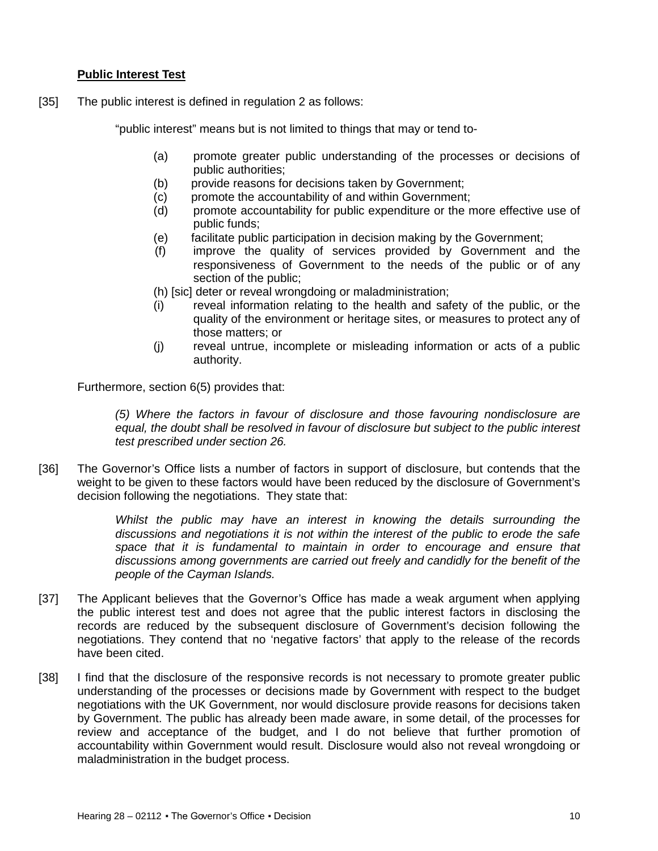## **Public Interest Test**

[35] The public interest is defined in regulation 2 as follows:

"public interest" means but is not limited to things that may or tend to-

- (a) promote greater public understanding of the processes or decisions of public authorities;
- (b) provide reasons for decisions taken by Government;
- (c) promote the accountability of and within Government;
- (d) promote accountability for public expenditure or the more effective use of public funds;
- (e) facilitate public participation in decision making by the Government;
- (f) improve the quality of services provided by Government and the responsiveness of Government to the needs of the public or of any section of the public;
- (h) [sic] deter or reveal wrongdoing or maladministration;
- (i) reveal information relating to the health and safety of the public, or the quality of the environment or heritage sites, or measures to protect any of those matters; or
- (j) reveal untrue, incomplete or misleading information or acts of a public authority.

Furthermore, section 6(5) provides that:

*(5) Where the factors in favour of disclosure and those favouring nondisclosure are equal, the doubt shall be resolved in favour of disclosure but subject to the public interest test prescribed under section 26.*

[36] The Governor's Office lists a number of factors in support of disclosure, but contends that the weight to be given to these factors would have been reduced by the disclosure of Government's decision following the negotiations. They state that:

> *Whilst the public may have an interest in knowing the details surrounding the discussions and negotiations it is not within the interest of the public to erode the safe*  space that it is fundamental to maintain in order to encourage and ensure that *discussions among governments are carried out freely and candidly for the benefit of the people of the Cayman Islands.*

- [37] The Applicant believes that the Governor's Office has made a weak argument when applying the public interest test and does not agree that the public interest factors in disclosing the records are reduced by the subsequent disclosure of Government's decision following the negotiations. They contend that no 'negative factors' that apply to the release of the records have been cited.
- [38] I find that the disclosure of the responsive records is not necessary to promote greater public understanding of the processes or decisions made by Government with respect to the budget negotiations with the UK Government, nor would disclosure provide reasons for decisions taken by Government. The public has already been made aware, in some detail, of the processes for review and acceptance of the budget, and I do not believe that further promotion of accountability within Government would result. Disclosure would also not reveal wrongdoing or maladministration in the budget process.